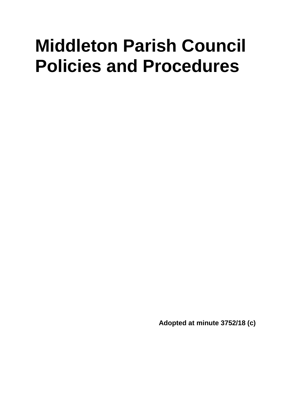# **Middleton Parish Council Policies and Procedures**

**Adopted at minute 3752/18 (c)**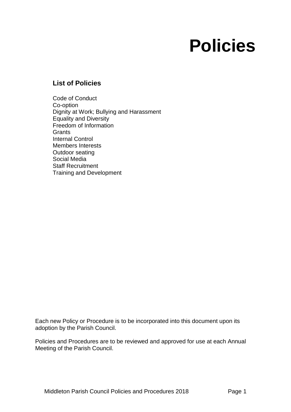# **Policies**

### **List of Policies**

Code of Conduct Co-option Dignity at Work; Bullying and Harassment Equality and Diversity Freedom of Information **Grants** Internal Control Members Interests Outdoor seating Social Media Staff Recruitment Training and Development

Each new Policy or Procedure is to be incorporated into this document upon its adoption by the Parish Council.

Policies and Procedures are to be reviewed and approved for use at each Annual Meeting of the Parish Council.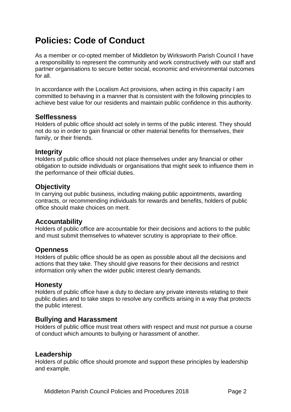# **Policies: Code of Conduct**

As a member or co-opted member of Middleton by Wirksworth Parish Council I have a responsibility to represent the community and work constructively with our staff and partner organisations to secure better social, economic and environmental outcomes for all.

In accordance with the Localism Act provisions, when acting in this capacity I am committed to behaving in a manner that is consistent with the following principles to achieve best value for our residents and maintain public confidence in this authority.

#### **Selflessness**

Holders of public office should act solely in terms of the public interest. They should not do so in order to gain financial or other material benefits for themselves, their family, or their friends.

#### **Integrity**

Holders of public office should not place themselves under any financial or other obligation to outside individuals or organisations that might seek to influence them in the performance of their official duties.

### **Objectivity**

In carrying out public business, including making public appointments, awarding contracts, or recommending individuals for rewards and benefits, holders of public office should make choices on merit.

### **Accountability**

Holders of public office are accountable for their decisions and actions to the public and must submit themselves to whatever scrutiny is appropriate to their office.

#### **Openness**

Holders of public office should be as open as possible about all the decisions and actions that they take. They should give reasons for their decisions and restrict information only when the wider public interest clearly demands.

#### **Honesty**

Holders of public office have a duty to declare any private interests relating to their public duties and to take steps to resolve any conflicts arising in a way that protects the public interest.

#### **Bullying and Harassment**

Holders of public office must treat others with respect and must not pursue a course of conduct which amounts to bullying or harassment of another.

#### **Leadership**

Holders of public office should promote and support these principles by leadership and example.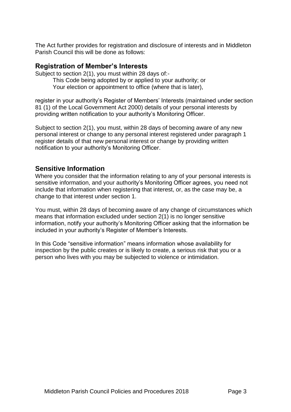The Act further provides for registration and disclosure of interests and in Middleton Parish Council this will be done as follows:

### **Registration of Member's Interests**

Subject to section 2(1), you must within 28 days of:-

This Code being adopted by or applied to your authority; or Your election or appointment to office (where that is later),

register in your authority's Register of Members' Interests (maintained under section 81 (1) of the Local Government Act 2000) details of your personal interests by providing written notification to your authority's Monitoring Officer.

Subject to section 2(1), you must, within 28 days of becoming aware of any new personal interest or change to any personal interest registered under paragraph 1 register details of that new personal interest or change by providing written notification to your authority's Monitoring Officer.

### **Sensitive Information**

Where you consider that the information relating to any of your personal interests is sensitive information, and your authority's Monitoring Officer agrees, you need not include that information when registering that interest, or, as the case may be, a change to that interest under section 1.

You must, within 28 days of becoming aware of any change of circumstances which means that information excluded under section 2(1) is no longer sensitive information, notify your authority's Monitoring Officer asking that the information be included in your authority's Register of Member's Interests.

In this Code "sensitive information" means information whose availability for inspection by the public creates or is likely to create, a serious risk that you or a person who lives with you may be subjected to violence or intimidation.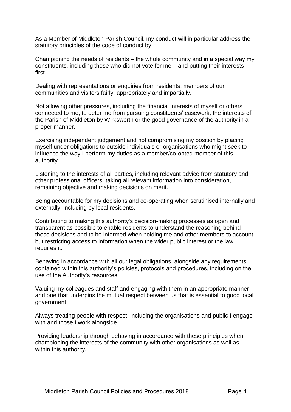As a Member of Middleton Parish Council, my conduct will in particular address the statutory principles of the code of conduct by:

Championing the needs of residents – the whole community and in a special way my constituents, including those who did not vote for me – and putting their interests first.

Dealing with representations or enquiries from residents, members of our communities and visitors fairly, appropriately and impartially.

Not allowing other pressures, including the financial interests of myself or others connected to me, to deter me from pursuing constituents' casework, the interests of the Parish of Middleton by Wirksworth or the good governance of the authority in a proper manner.

Exercising independent judgement and not compromising my position by placing myself under obligations to outside individuals or organisations who might seek to influence the way I perform my duties as a member/co-opted member of this authority.

Listening to the interests of all parties, including relevant advice from statutory and other professional officers, taking all relevant information into consideration, remaining objective and making decisions on merit.

Being accountable for my decisions and co-operating when scrutinised internally and externally, including by local residents.

Contributing to making this authority's decision-making processes as open and transparent as possible to enable residents to understand the reasoning behind those decisions and to be informed when holding me and other members to account but restricting access to information when the wider public interest or the law requires it.

Behaving in accordance with all our legal obligations, alongside any requirements contained within this authority's policies, protocols and procedures, including on the use of the Authority's resources.

Valuing my colleagues and staff and engaging with them in an appropriate manner and one that underpins the mutual respect between us that is essential to good local government.

Always treating people with respect, including the organisations and public I engage with and those I work alongside.

Providing leadership through behaving in accordance with these principles when championing the interests of the community with other organisations as well as within this authority.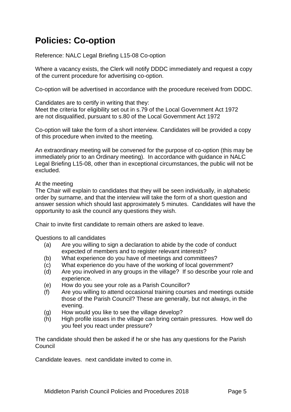# **Policies: Co-option**

Reference: NALC Legal Briefing L15-08 Co-option

Where a vacancy exists, the Clerk will notify DDDC immediately and request a copy of the current procedure for advertising co-option.

Co-option will be advertised in accordance with the procedure received from DDDC.

Candidates are to certify in writing that they: Meet the criteria for eligibility set out in s.79 of the Local Government Act 1972 are not disqualified, pursuant to s.80 of the Local Government Act 1972

Co-option will take the form of a short interview. Candidates will be provided a copy of this procedure when invited to the meeting.

An extraordinary meeting will be convened for the purpose of co-option (this may be immediately prior to an Ordinary meeting). In accordance with guidance in NALC Legal Briefing L15-08, other than in exceptional circumstances, the public will not be excluded.

#### At the meeting

The Chair will explain to candidates that they will be seen individually, in alphabetic order by surname, and that the interview will take the form of a short question and answer session which should last approximately 5 minutes. Candidates will have the opportunity to ask the council any questions they wish.

Chair to invite first candidate to remain others are asked to leave.

Questions to all candidates

- (a) Are you willing to sign a declaration to abide by the code of conduct expected of members and to register relevant interests?
- (b) What experience do you have of meetings and committees?
- (c) What experience do you have of the working of local government?
- (d) Are you involved in any groups in the village? If so describe your role and experience.
- (e) How do you see your role as a Parish Councillor?
- (f) Are you willing to attend occasional training courses and meetings outside those of the Parish Council? These are generally, but not always, in the evening.
- (g) How would you like to see the village develop?
- (h) High profile issues in the village can bring certain pressures. How well do you feel you react under pressure?

The candidate should then be asked if he or she has any questions for the Parish Council

Candidate leaves. next candidate invited to come in.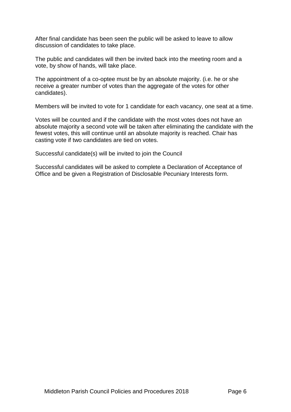After final candidate has been seen the public will be asked to leave to allow discussion of candidates to take place.

The public and candidates will then be invited back into the meeting room and a vote, by show of hands, will take place.

The appointment of a co-optee must be by an absolute majority. (i.e. he or she receive a greater number of votes than the aggregate of the votes for other candidates).

Members will be invited to vote for 1 candidate for each vacancy, one seat at a time.

Votes will be counted and if the candidate with the most votes does not have an absolute majority a second vote will be taken after eliminating the candidate with the fewest votes, this will continue until an absolute majority is reached. Chair has casting vote if two candidates are tied on votes.

Successful candidate(s) will be invited to join the Council

Successful candidates will be asked to complete a Declaration of Acceptance of Office and be given a Registration of Disclosable Pecuniary Interests form.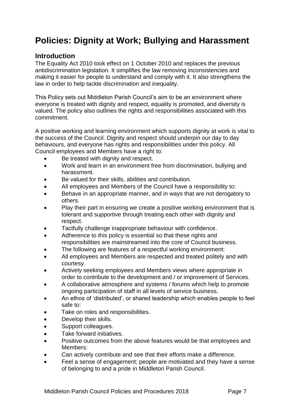# **Policies: Dignity at Work; Bullying and Harassment**

### **Introduction**

The Equality Act 2010 took effect on 1 October 2010 and replaces the previous antidiscrimination legislation. It simplifies the law removing inconsistencies and making it easier for people to understand and comply with it. It also strengthens the law in order to help tackle discrimination and inequality.

This Policy sets out Middleton Parish Council's aim to be an environment where everyone is treated with dignity and respect, equality is promoted, and diversity is valued. The policy also outlines the rights and responsibilities associated with this commitment.

A positive working and learning environment which supports dignity at work is vital to the success of the Council. Dignity and respect should underpin our day to day behaviours, and everyone has rights and responsibilities under this policy. All Council employees and Members have a right to:

- Be treated with dignity and respect.
- Work and learn in an environment free from discrimination, bullying and harassment.
- Be valued for their skills, abilities and contribution.
- All employees and Members of the Council have a responsibility to:
- Behave in an appropriate manner, and in ways that are not derogatory to others.
- Play their part in ensuring we create a positive working environment that is tolerant and supportive through treating each other with dignity and respect.
- Tactfully challenge inappropriate behaviour with confidence.
- Adherence to this policy is essential so that these rights and responsibilities are mainstreamed into the core of Council business.
- The following are features of a respectful working environment:
- All employees and Members are respected and treated politely and with courtesy.
- Actively seeking employees and Members views where appropriate in order to contribute to the development and / or improvement of Services.
- A collaborative atmosphere and systems / forums which help to promote ongoing participation of staff in all levels of service business.
- An ethos of 'distributed', or shared leadership which enables people to feel safe to:
- Take on roles and responsibilities.
- Develop their skills.
- Support colleagues.
- Take forward initiatives.
- Positive outcomes from the above features would be that employees and Members:
- Can actively contribute and see that their efforts make a difference.
- Feel a sense of engagement; people are motivated and they have a sense of belonging to and a pride in Middleton Parish Council.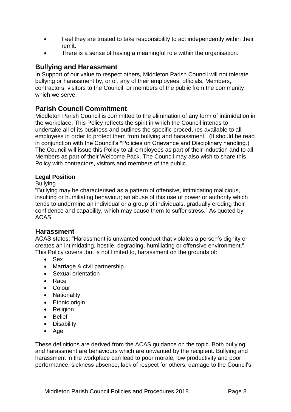- Feel they are trusted to take responsibility to act independently within their remit.
- There is a sense of having a meaningful role within the organisation.

### **Bullying and Harassment**

In Support of our value to respect others, Middleton Parish Council will not tolerate bullying or harassment by, or of, any of their employees, officials, Members, contractors, visitors to the Council, or members of the public from the community which we serve.

### **Parish Council Commitment**

Middleton Parish Council is committed to the elimination of any form of intimidation in the workplace. This Policy reflects the spirit in which the Council intends to undertake all of its business and outlines the specific procedures available to all employees in order to protect them from bullying and harassment. (It should be read in conjunction with the Council's \*Policies on Grievance and Disciplinary handling.) The Council will issue this Policy to all employees as part of their induction and to all Members as part of their Welcome Pack. The Council may also wish to share this Policy with contractors, visitors and members of the public.

#### **Legal Position**

#### Bullying

"Bullying may be characterised as a pattern of offensive, intimidating malicious, insulting or humiliating behaviour; an abuse of this use of power or authority which tends to undermine an individual or a group of individuals, gradually eroding their confidence and capability, which may cause them to suffer stress." As quoted by ACAS.

#### **Harassment**

ACAS states: "Harassment is unwanted conduct that violates a person's dignity or creates an intimidating, hostile, degrading, humiliating or offensive environment." This Policy covers ,but is not limited to, harassment on the grounds of:

- Sex
- Marriage & civil partnership
- Sexual orientation
- Race
- Colour
- Nationality
- Ethnic origin
- Religion
- Belief
- Disability
- Age

These definitions are derived from the ACAS guidance on the topic. Both bullying and harassment are behaviours which are unwanted by the recipient. Bullying and harassment in the workplace can lead to poor morale, low productivity and poor performance, sickness absence, lack of respect for others, damage to the Council's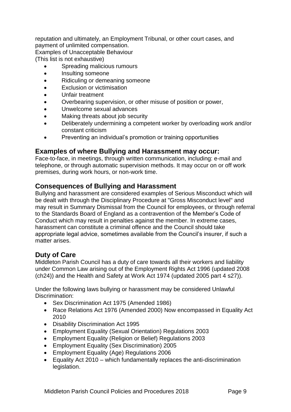reputation and ultimately, an Employment Tribunal, or other court cases, and payment of unlimited compensation.

Examples of Unacceptable Behaviour

(This list is not exhaustive)

- Spreading malicious rumours
- Insulting someone
- Ridiculing or demeaning someone
- Exclusion or victimisation
- Unfair treatment
- Overbearing supervision, or other misuse of position or power,
- Unwelcome sexual advances
- Making threats about job security
- Deliberately undermining a competent worker by overloading work and/or constant criticism
- Preventing an individual's promotion or training opportunities

### **Examples of where Bullying and Harassment may occur:**

Face-to-face, in meetings, through written communication, including: e-mail and telephone, or through automatic supervision methods. It may occur on or off work premises, during work hours, or non-work time.

### **Consequences of Bullying and Harassment**

Bullying and harassment are considered examples of Serious Misconduct which will be dealt with through the Disciplinary Procedure at "Gross Misconduct level" and may result in Summary Dismissal from the Council for employees, or through referral to the Standards Board of England as a contravention of the Member's Code of Conduct which may result in penalties against the member. In extreme cases, harassment can constitute a criminal offence and the Council should take appropriate legal advice, sometimes available from the Council's insurer, if such a matter arises.

### **Duty of Care**

Middleton Parish Council has a duty of care towards all their workers and liability under Common Law arising out of the Employment Rights Act 1996 (updated 2008 (ch24)) and the Health and Safety at Work Act 1974 (updated 2005 part 4 s27)).

Under the following laws bullying or harassment may be considered Unlawful Discrimination:

- Sex Discrimination Act 1975 (Amended 1986)
- Race Relations Act 1976 (Amended 2000) Now encompassed in Equality Act 2010
- Disability Discrimination Act 1995
- Employment Equality (Sexual Orientation) Regulations 2003
- Employment Equality (Religion or Belief) Regulations 2003
- Employment Equality (Sex Discrimination) 2005
- Employment Equality (Age) Regulations 2006
- Equality Act 2010 which fundamentally replaces the anti-discrimination legislation.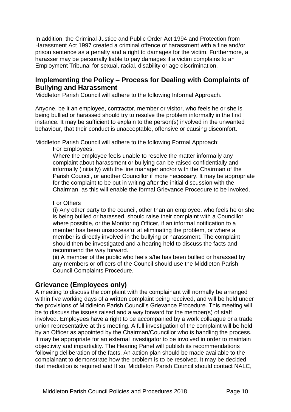In addition, the Criminal Justice and Public Order Act 1994 and Protection from Harassment Act 1997 created a criminal offence of harassment with a fine and/or prison sentence as a penalty and a right to damages for the victim. Furthermore, a harasser may be personally liable to pay damages if a victim complains to an Employment Tribunal for sexual, racial, disability or age discrimination.

### **Implementing the Policy – Process for Dealing with Complaints of Bullying and Harassment**

Middleton Parish Council will adhere to the following Informal Approach.

Anyone, be it an employee, contractor, member or visitor, who feels he or she is being bullied or harassed should try to resolve the problem informally in the first instance. It may be sufficient to explain to the person(s) involved in the unwanted behaviour, that their conduct is unacceptable, offensive or causing discomfort.

Middleton Parish Council will adhere to the following Formal Approach;

For Employees:

Where the employee feels unable to resolve the matter informally any complaint about harassment or bullying can be raised confidentially and informally (initially) with the line manager and/or with the Chairman of the Parish Council, or another Councillor if more necessary. It may be appropriate for the complaint to be put in writing after the initial discussion with the Chairman, as this will enable the formal Grievance Procedure to be invoked.

#### For Others

(i) Any other party to the council, other than an employee, who feels he or she is being bullied or harassed, should raise their complaint with a Councillor where possible, or the Monitoring Officer, if an informal notification to a member has been unsuccessful at eliminating the problem, or where a member is directly involved in the bullying or harassment. The complaint should then be investigated and a hearing held to discuss the facts and recommend the way forward.

(ii) A member of the public who feels s/he has been bullied or harassed by any members or officers of the Council should use the Middleton Parish Council Complaints Procedure.

### **Grievance (Employees only)**

A meeting to discuss the complaint with the complainant will normally be arranged within five working days of a written complaint being received, and will be held under the provisions of Middleton Parish Council's Grievance Procedure. This meeting will be to discuss the issues raised and a way forward for the member(s) of staff involved. Employees have a right to be accompanied by a work colleague or a trade union representative at this meeting. A full investigation of the complaint will be held by an Officer as appointed by the Chairman/Councillor who is handling the process. It may be appropriate for an external investigator to be involved in order to maintain objectivity and impartiality. The Hearing Panel will publish its recommendations following deliberation of the facts. An action plan should be made available to the complainant to demonstrate how the problem is to be resolved. It may be decided that mediation is required and If so, Middleton Parish Council should contact NALC,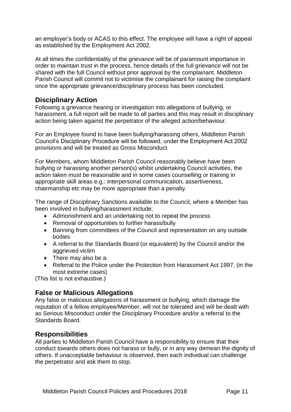an employer's body or ACAS to this effect. The employee will have a right of appeal as established by the Employment Act 2002.

At all times the confidentiality of the grievance will be of paramount importance in order to maintain trust in the process, hence details of the full grievance will not be shared with the full Council without prior approval by the complainant. Middleton Parish Council will commit not to victimise the complainant for raising the complaint once the appropriate grievance/disciplinary process has been concluded.

### **Disciplinary Action**

Following a grievance hearing or investigation into allegations of bullying, or harassment, a full report will be made to all parties and this may result in disciplinary action being taken against the perpetrator of the alleged action/behaviour.

For an Employee found to have been bullying/harassing others, Middleton Parish Council's Disciplinary Procedure will be followed, under the Employment Act 2002 provisions and will be treated as Gross Misconduct.

For Members, whom Middleton Parish Council reasonably believe have been bullying or harassing another person(s) whilst undertaking Council activities, the action taken must be reasonable and in some cases counselling or training in appropriate skill areas e.g.: interpersonal communication, assertiveness, chairmanship etc may be more appropriate than a penalty.

The range of Disciplinary Sanctions available to the Council, where a Member has been involved in bullying/harassment include:

- Admonishment and an undertaking not to repeat the process
- Removal of opportunities to further harass/bully
- Banning from committees of the Council and representation on any outside bodies
- A referral to the Standards Board (or equivalent) by the Council and/or the aggrieved victim
- There may also be a:
- Referral to the Police under the Protection from Harassment Act 1997, (in the most extreme cases)

(This list is not exhaustive.)

### **False or Malicious Allegations**

Any false or malicious allegations of harassment or bullying, which damage the reputation of a fellow employee/Member, will not be tolerated and will be dealt with as Serious Misconduct under the Disciplinary Procedure and/or a referral to the Standards Board.

### **Responsibilities**

All parties to Middleton Parish Council have a responsibility to ensure that their conduct towards others does not harass or bully, or in any way demean the dignity of others. If unacceptable behaviour is observed, then each individual can challenge the perpetrator and ask them to stop.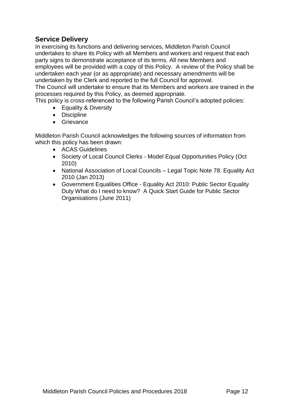### **Service Delivery**

In exercising its functions and delivering services, Middleton Parish Council undertakes to share its Policy with all Members and workers and request that each party signs to demonstrate acceptance of its terms. All new Members and employees will be provided with a copy of this Policy. A review of the Policy shall be undertaken each year (or as appropriate) and necessary amendments will be undertaken by the Clerk and reported to the full Council for approval.

The Council will undertake to ensure that its Members and workers are trained in the processes required by this Policy, as deemed appropriate.

This policy is cross-referenced to the following Parish Council's adopted policies:

- Equality & Diversity
- Discipline
- Grievance

Middleton Parish Council acknowledges the following sources of information from which this policy has been drawn:

- ACAS Guidelines
- Society of Local Council Clerks Model Equal Opportunities Policy (Oct 2010)
- National Association of Local Councils Legal Topic Note 78: Equality Act 2010 (Jan 2013)
- Government Equalities Office Equality Act 2010: Public Sector Equality Duty What do I need to know? A Quick Start Guide for Public Sector Organisations (June 2011)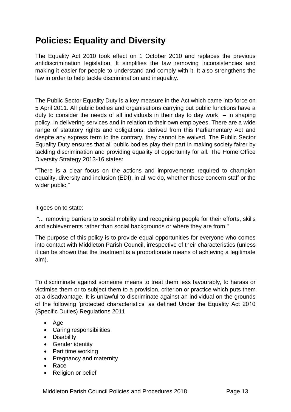# **Policies: Equality and Diversity**

The Equality Act 2010 took effect on 1 October 2010 and replaces the previous antidiscrimination legislation. It simplifies the law removing inconsistencies and making it easier for people to understand and comply with it. It also strengthens the law in order to help tackle discrimination and inequality.

The Public Sector Equality Duty is a key measure in the Act which came into force on 5 April 2011. All public bodies and organisations carrying out public functions have a duty to consider the needs of all individuals in their day to day work  $-$  in shaping policy, in delivering services and in relation to their own employees. There are a wide range of statutory rights and obligations, derived from this Parliamentary Act and despite any express term to the contrary, they cannot be waived. The Public Sector Equality Duty ensures that all public bodies play their part in making society fairer by tackling discrimination and providing equality of opportunity for all. The Home Office Diversity Strategy 2013-16 states:

"There is a clear focus on the actions and improvements required to champion equality, diversity and inclusion (EDI), in all we do, whether these concern staff or the wider public."

It goes on to state:

"... removing barriers to social mobility and recognising people for their efforts, skills and achievements rather than social backgrounds or where they are from."

The purpose of this policy is to provide equal opportunities for everyone who comes into contact with Middleton Parish Council, irrespective of their characteristics (unless it can be shown that the treatment is a proportionate means of achieving a legitimate aim).

To discriminate against someone means to treat them less favourably, to harass or victimise them or to subject them to a provision, criterion or practice which puts them at a disadvantage. It is unlawful to discriminate against an individual on the grounds of the following 'protected characteristics' as defined Under the Equality Act 2010 (Specific Duties) Regulations 2011

- Age
- Caring responsibilities
- Disability
- Gender identity
- Part time working
- Pregnancy and maternity
- Race
- Religion or belief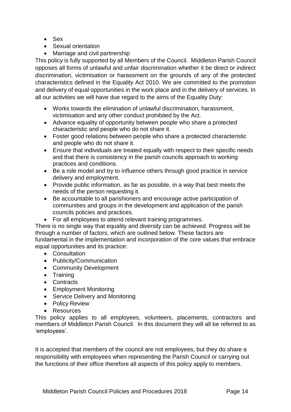- Sex
- Sexual orientation
- Marriage and civil partnership

This policy is fully supported by all Members of the Council. Middleton Parish Council opposes all forms of unlawful and unfair discrimination whether it be direct or indirect discrimination, victimisation or harassment on the grounds of any of the protected characteristics defined in the Equality Act 2010. We are committed to the promotion and delivery of equal opportunities in the work place and in the delivery of services. In all our activities we will have due regard to the aims of the Equality Duty:

- Works towards the elimination of unlawful discrimination, harassment, victimisation and any other conduct prohibited by the Act.
- Advance equality of opportunity between people who share a protected characteristic and people who do not share it.
- Foster good relations between people who share a protected characteristic and people who do not share it.
- Ensure that individuals are treated equally with respect to their specific needs and that there is consistency in the parish councils approach to working practices and conditions.
- Be a role model and try to influence others through good practice in service delivery and employment.
- Provide public information, as far as possible, in a way that best meets the needs of the person requesting it.
- Be accountable to all parishioners and encourage active participation of communities and groups in the development and application of the parish councils policies and practices.
- For all employees to attend relevant training programmes.

There is no single way that equality and diversity can be achieved. Progress will be through a number of factors, which are outlined below. These factors are fundamental in the implementation and incorporation of the core values that embrace equal opportunities and its practice:

- Consultation
- Publicity/Communication
- Community Development
- Training
- Contracts
- Employment Monitoring
- Service Delivery and Monitoring
- Policy Review
- Resources

This policy applies to all employees, volunteers, placements, contractors and members of Middleton Parish Council. In this document they will all be referred to as 'employees'.

It is accepted that members of the council are not employees, but they do share a responsibility with employees when representing the Parish Council or carrying out the functions of their office therefore all aspects of this policy apply to members.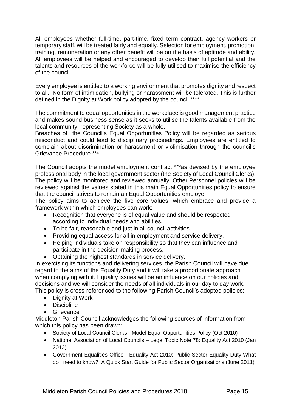All employees whether full-time, part-time, fixed term contract, agency workers or temporary staff, will be treated fairly and equally. Selection for employment, promotion, training, remuneration or any other benefit will be on the basis of aptitude and ability. All employees will be helped and encouraged to develop their full potential and the talents and resources of the workforce will be fully utilised to maximise the efficiency of the council.

Every employee is entitled to a working environment that promotes dignity and respect to all. No form of intimidation, bullying or harassment will be tolerated. This is further defined in the Dignity at Work policy adopted by the council.\*\*\*\*

The commitment to equal opportunities in the workplace is good management practice and makes sound business sense as it seeks to utilise the talents available from the local community, representing Society as a whole.

Breaches of the Council's Equal Opportunities Policy will be regarded as serious misconduct and could lead to disciplinary proceedings. Employees are entitled to complain about discrimination or harassment or victimisation through the council's Grievance Procedure.\*\*\*

The Council adopts the model employment contract \*\*\*as devised by the employee professional body in the local government sector (the Society of Local Council Clerks). The policy will be monitored and reviewed annually. Other Personnel policies will be reviewed against the values stated in this main Equal Opportunities policy to ensure that the council strives to remain an Equal Opportunities employer.

The policy aims to achieve the five core values, which embrace and provide a framework within which employees can work:

- Recognition that everyone is of equal value and should be respected according to individual needs and abilities.
- To be fair, reasonable and just in all council activities.
- Providing equal access for all in employment and service delivery.
- Helping individuals take on responsibility so that they can influence and participate in the decision-making process.
- Obtaining the highest standards in service delivery.

In exercising its functions and delivering services, the Parish Council will have due regard to the aims of the Equality Duty and it will take a proportionate approach when complying with it. Equality issues will be an influence on our policies and decisions and we will consider the needs of all individuals in our day to day work. This policy is cross-referenced to the following Parish Council's adopted policies:

- Dignity at Work
- Discipline
- Grievance

Middleton Parish Council acknowledges the following sources of information from which this policy has been drawn:

- Society of Local Council Clerks Model Equal Opportunities Policy (Oct 2010)
- National Association of Local Councils Legal Topic Note 78: Equality Act 2010 (Jan 2013)
- Government Equalities Office Equality Act 2010: Public Sector Equality Duty What do I need to know? A Quick Start Guide for Public Sector Organisations (June 2011)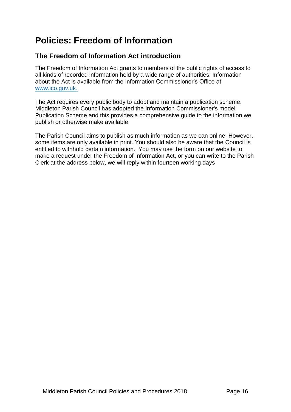# **Policies: Freedom of Information**

### **The Freedom of Information Act introduction**

The Freedom of Information Act grants to members of the public rights of access to all kinds of recorded information held by a wide range of authorities. Information about the Act is available from the Information Commissioner's Office at [www.ico.gov.uk.](http://www.ico.gov.uk/)

The Act requires every public body to adopt and maintain a publication scheme. Middleton Parish Council has adopted the Information Commissioner's model Publication Scheme and this provides a comprehensive guide to the information we publish or otherwise make available.

The Parish Council aims to publish as much information as we can online. However, some items are only available in print. You should also be aware that the Council is entitled to withhold certain information. You may use the form on our website to make a request under the Freedom of Information Act, or you can write to the Parish Clerk at the address below, we will reply within fourteen working days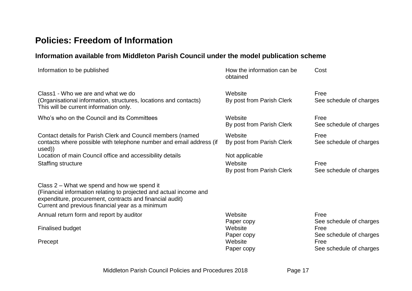# **Policies: Freedom of Information**

## **Information available from Middleton Parish Council under the model publication scheme**

| Information to be published                                                                                                                                                                                                       | How the information can be<br>obtained                 | Cost                                                       |
|-----------------------------------------------------------------------------------------------------------------------------------------------------------------------------------------------------------------------------------|--------------------------------------------------------|------------------------------------------------------------|
| Class1 - Who we are and what we do<br>(Organisational information, structures, locations and contacts)<br>This will be current information only.                                                                                  | Website<br>By post from Parish Clerk                   | Free<br>See schedule of charges                            |
| Who's who on the Council and its Committees                                                                                                                                                                                       | Website<br>By post from Parish Clerk                   | Free<br>See schedule of charges                            |
| Contact details for Parish Clerk and Council members (named<br>contacts where possible with telephone number and email address (if<br>used))                                                                                      | Website<br>By post from Parish Clerk                   | Free<br>See schedule of charges                            |
| Location of main Council office and accessibility details<br><b>Staffing structure</b>                                                                                                                                            | Not applicable<br>Website<br>By post from Parish Clerk | Free<br>See schedule of charges                            |
| Class 2 – What we spend and how we spend it<br>(Financial information relating to projected and actual income and<br>expenditure, procurement, contracts and financial audit)<br>Current and previous financial year as a minimum |                                                        |                                                            |
| Annual return form and report by auditor                                                                                                                                                                                          | Website                                                | Free                                                       |
| <b>Finalised budget</b>                                                                                                                                                                                                           | Paper copy<br>Website<br>Paper copy                    | See schedule of charges<br>Free<br>See schedule of charges |
| Precept                                                                                                                                                                                                                           | Website<br>Paper copy                                  | Free<br>See schedule of charges                            |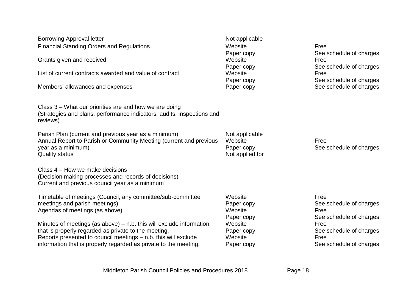| <b>Borrowing Approval letter</b><br><b>Financial Standing Orders and Regulations</b><br>Grants given and received<br>List of current contracts awarded and value of contract<br>Members' allowances and expenses                                                    | Not applicable<br>Website<br>Paper copy<br>Website<br>Paper copy<br>Website<br>Paper copy<br>Paper copy | Free<br>See schedule of charges<br>Free<br>See schedule of charges<br>Free<br>See schedule of charges<br>See schedule of charges |
|---------------------------------------------------------------------------------------------------------------------------------------------------------------------------------------------------------------------------------------------------------------------|---------------------------------------------------------------------------------------------------------|----------------------------------------------------------------------------------------------------------------------------------|
| Class 3 – What our priorities are and how we are doing<br>(Strategies and plans, performance indicators, audits, inspections and<br>reviews)                                                                                                                        |                                                                                                         |                                                                                                                                  |
| Parish Plan (current and previous year as a minimum)<br>Annual Report to Parish or Community Meeting (current and previous<br>year as a minimum)<br><b>Quality status</b>                                                                                           | Not applicable<br>Website<br>Paper copy<br>Not applied for                                              | Free<br>See schedule of charges                                                                                                  |
| Class 4 – How we make decisions<br>(Decision making processes and records of decisions)<br>Current and previous council year as a minimum                                                                                                                           |                                                                                                         |                                                                                                                                  |
| Timetable of meetings (Council, any committee/sub-committee<br>meetings and parish meetings)<br>Agendas of meetings (as above)                                                                                                                                      | Website<br>Paper copy<br>Website<br>Paper copy                                                          | Free<br>See schedule of charges<br>Free<br>See schedule of charges                                                               |
| Minutes of meetings (as above) $-$ n.b. this will exclude information<br>that is properly regarded as private to the meeting.<br>Reports presented to council meetings - n.b. this will exclude<br>information that is properly regarded as private to the meeting. | Website<br>Paper copy<br>Website<br>Paper copy                                                          | Free<br>See schedule of charges<br>Free<br>See schedule of charges                                                               |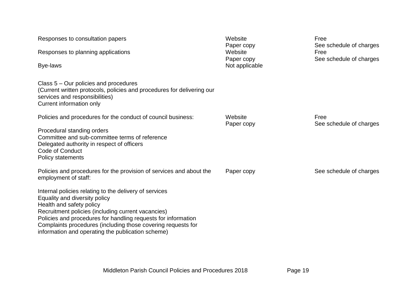| Responses to consultation papers<br>Responses to planning applications<br>Bye-laws<br>Class 5 – Our policies and procedures<br>(Current written protocols, policies and procedures for delivering our<br>services and responsibilities)<br>Current information only                                                                                                                                                                                            | Website<br>Paper copy<br>Website<br>Paper copy<br>Not applicable | Free<br>See schedule of charges<br>Free<br>See schedule of charges |
|----------------------------------------------------------------------------------------------------------------------------------------------------------------------------------------------------------------------------------------------------------------------------------------------------------------------------------------------------------------------------------------------------------------------------------------------------------------|------------------------------------------------------------------|--------------------------------------------------------------------|
| Policies and procedures for the conduct of council business:<br>Procedural standing orders<br>Committee and sub-committee terms of reference<br>Delegated authority in respect of officers<br><b>Code of Conduct</b><br>Policy statements                                                                                                                                                                                                                      | Website<br>Paper copy                                            | Free<br>See schedule of charges                                    |
| Policies and procedures for the provision of services and about the<br>employment of staff:<br>Internal policies relating to the delivery of services<br>Equality and diversity policy<br>Health and safety policy<br>Recruitment policies (including current vacancies)<br>Policies and procedures for handling requests for information<br>Complaints procedures (including those covering requests for<br>information and operating the publication scheme) | Paper copy                                                       | See schedule of charges                                            |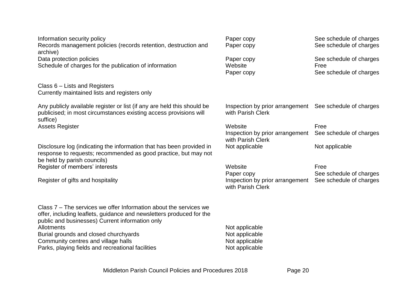| Information security policy<br>Records management policies (records retention, destruction and<br>archive)                                                                                   | Paper copy<br>Paper copy                                           | See schedule of charges<br>See schedule of charges |
|----------------------------------------------------------------------------------------------------------------------------------------------------------------------------------------------|--------------------------------------------------------------------|----------------------------------------------------|
| Data protection policies<br>Schedule of charges for the publication of information                                                                                                           | Paper copy<br>Website                                              | See schedule of charges<br>Free                    |
|                                                                                                                                                                                              | Paper copy                                                         | See schedule of charges                            |
| Class 6 – Lists and Registers<br>Currently maintained lists and registers only                                                                                                               |                                                                    |                                                    |
| Any publicly available register or list (if any are held this should be<br>publicised; in most circumstances existing access provisions will<br>suffice)                                     | Inspection by prior arrangement<br>with Parish Clerk               | See schedule of charges                            |
| <b>Assets Register</b>                                                                                                                                                                       | Website<br>Inspection by prior arrangement<br>with Parish Clerk    | Free<br>See schedule of charges                    |
| Disclosure log (indicating the information that has been provided in<br>response to requests; recommended as good practice, but may not<br>be held by parish councils)                       | Not applicable                                                     | Not applicable                                     |
| Register of members' interests                                                                                                                                                               | Website                                                            | Free                                               |
| Register of gifts and hospitality                                                                                                                                                            | Paper copy<br>Inspection by prior arrangement<br>with Parish Clerk | See schedule of charges<br>See schedule of charges |
| Class 7 – The services we offer Information about the services we<br>offer, including leaflets, guidance and newsletters produced for the<br>public and businesses) Current information only |                                                                    |                                                    |
| Allotments<br>Burial grounds and closed churchyards                                                                                                                                          | Not applicable<br>Not applicable                                   |                                                    |
| Community centres and village halls<br>Parks, playing fields and recreational facilities                                                                                                     | Not applicable                                                     |                                                    |
|                                                                                                                                                                                              | Not applicable                                                     |                                                    |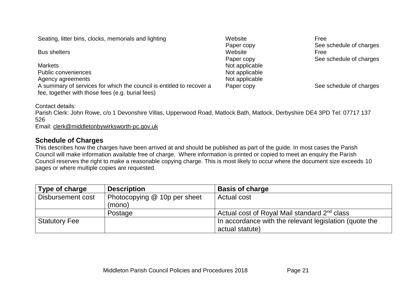Seating, litter bins, clocks, memorials and lighting Website Website

**Bus shelters** Markets Not applicable Public conveniences Not applicable Agency agreements Not applicable A summary of services for which the council is entitled to recover a fee, together with those fees (e.g. burial fees)

Paper copy<br>Website Paper copy

Free See schedule of charges Free See schedule of charges

Paper copy See schedule of charges

Contact details:

Parish Clerk: John Rowe, c/o 1 Devonshire Villas, Upperwood Road, Matlock Bath, Matlock, Derbyshire DE4 3PD Tel: 07717 137 526

Email: [clerk@middletonbywirksworth-pc.gov.uk](mailto:clerk@middletonbywirksworth-pc.gov.uk)

### **Schedule of Charges**

This describes how the charges have been arrived at and should be published as part of the guide. In most cases the Parish Council will make information available free of charge. Where information is printed or copied to meet an enquiry the Parish Council reserves the right to make a reasonable copying charge. This is most likely to occur where the document size exceeds 10 pages or where multiple copies are requested.

| Type of charge       | <b>Description</b>           | <b>Basis of charge</b>                                   |
|----------------------|------------------------------|----------------------------------------------------------|
| Disbursement cost    | Photocopying @ 10p per sheet | Actual cost                                              |
|                      | (mono)                       |                                                          |
|                      | Postage                      | Actual cost of Royal Mail standard 2 <sup>nd</sup> class |
| <b>Statutory Fee</b> |                              | In accordance with the relevant legislation (quote the   |
|                      |                              | actual statute)                                          |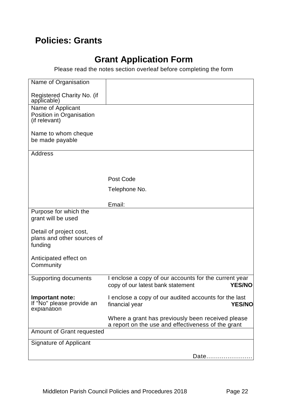# **Policies: Grants**

# **Grant Application Form**

Please read the notes section overleaf before completing the form

| Name of Organisation                         |                                                                                                         |
|----------------------------------------------|---------------------------------------------------------------------------------------------------------|
| Registered Charity No. (if<br>applicable)    |                                                                                                         |
| Name of Applicant                            |                                                                                                         |
| Position in Organisation                     |                                                                                                         |
| (if relevant)                                |                                                                                                         |
|                                              |                                                                                                         |
| Name to whom cheque                          |                                                                                                         |
| be made payable                              |                                                                                                         |
|                                              |                                                                                                         |
| <b>Address</b>                               |                                                                                                         |
|                                              |                                                                                                         |
|                                              |                                                                                                         |
|                                              | Post Code                                                                                               |
|                                              | Telephone No.                                                                                           |
|                                              |                                                                                                         |
|                                              | Email:                                                                                                  |
| Purpose for which the                        |                                                                                                         |
| grant will be used                           |                                                                                                         |
|                                              |                                                                                                         |
| Detail of project cost,                      |                                                                                                         |
| plans and other sources of                   |                                                                                                         |
| funding                                      |                                                                                                         |
|                                              |                                                                                                         |
| Anticipated effect on                        |                                                                                                         |
| Community                                    |                                                                                                         |
|                                              |                                                                                                         |
| <b>Supporting documents</b>                  | I enclose a copy of our accounts for the current year                                                   |
|                                              | copy of our latest bank statement<br><b>YES/NO</b>                                                      |
|                                              |                                                                                                         |
| Important note:<br>If "No" please provide an | I enclose a copy of our audited accounts for the last                                                   |
| explanation                                  | financial year<br><b>YES/NO</b>                                                                         |
|                                              |                                                                                                         |
|                                              | Where a grant has previously been received please<br>a report on the use and effectiveness of the grant |
| Amount of Grant requested                    |                                                                                                         |
| <b>Signature of Applicant</b>                |                                                                                                         |
|                                              |                                                                                                         |
|                                              | Date                                                                                                    |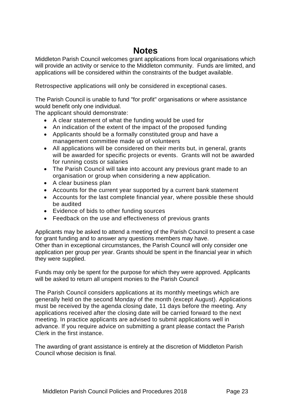# **Notes**

Middleton Parish Council welcomes grant applications from local organisations which will provide an activity or service to the Middleton community. Funds are limited, and applications will be considered within the constraints of the budget available.

Retrospective applications will only be considered in exceptional cases.

The Parish Council is unable to fund "for profit" organisations or where assistance would benefit only one individual.

The applicant should demonstrate:

- A clear statement of what the funding would be used for
- An indication of the extent of the impact of the proposed funding
- Applicants should be a formally constituted group and have a management committee made up of volunteers
- All applications will be considered on their merits but, in general, grants will be awarded for specific projects or events. Grants will not be awarded for running costs or salaries
- The Parish Council will take into account any previous grant made to an organisation or group when considering a new application.
- A clear business plan
- Accounts for the current year supported by a current bank statement
- Accounts for the last complete financial year, where possible these should be audited
- Evidence of bids to other funding sources
- Feedback on the use and effectiveness of previous grants

Applicants may be asked to attend a meeting of the Parish Council to present a case for grant funding and to answer any questions members may have. Other than in exceptional circumstances, the Parish Council will only consider one application per group per year. Grants should be spent in the financial year in which they were supplied.

Funds may only be spent for the purpose for which they were approved. Applicants will be asked to return all unspent monies to the Parish Council

The Parish Council considers applications at its monthly meetings which are generally held on the second Monday of the month (except August). Applications must be received by the agenda closing date, 11 days before the meeting. Any applications received after the closing date will be carried forward to the next meeting. In practice applicants are advised to submit applications well in advance. If you require advice on submitting a grant please contact the Parish Clerk in the first instance.

The awarding of grant assistance is entirely at the discretion of Middleton Parish Council whose decision is final.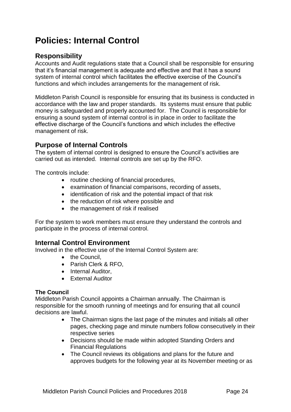# **Policies: Internal Control**

### **Responsibility**

Accounts and Audit regulations state that a Council shall be responsible for ensuring that it's financial management is adequate and effective and that it has a sound system of internal control which facilitates the effective exercise of the Council's functions and which includes arrangements for the management of risk.

Middleton Parish Council is responsible for ensuring that its business is conducted in accordance with the law and proper standards. Its systems must ensure that public money is safeguarded and properly accounted for. The Council is responsible for ensuring a sound system of internal control is in place in order to facilitate the effective discharge of the Council's functions and which includes the effective management of risk.

#### **Purpose of Internal Controls**

The system of internal control is designed to ensure the Council's activities are carried out as intended. Internal controls are set up by the RFO.

The controls include:

- routine checking of financial procedures,
- examination of financial comparisons, recording of assets,
- identification of risk and the potential impact of that risk
- the reduction of risk where possible and
- the management of risk if realised

For the system to work members must ensure they understand the controls and participate in the process of internal control.

#### **Internal Control Environment**

Involved in the effective use of the Internal Control System are:

- the Council,
- Parish Clerk & RFO,
- Internal Auditor,
- External Auditor

#### **The Council**

Middleton Parish Council appoints a Chairman annually. The Chairman is responsible for the smooth running of meetings and for ensuring that all council decisions are lawful.

- The Chairman signs the last page of the minutes and initials all other pages, checking page and minute numbers follow consecutively in their respective series
- Decisions should be made within adopted Standing Orders and Financial Regulations
- The Council reviews its obligations and plans for the future and approves budgets for the following year at its November meeting or as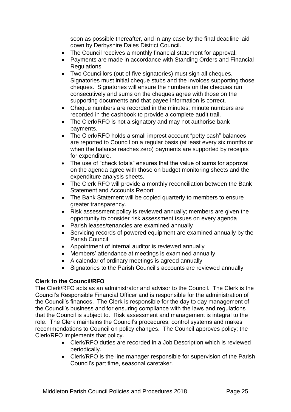soon as possible thereafter, and in any case by the final deadline laid down by Derbyshire Dales District Council.

- The Council receives a monthly financial statement for approval.
- Payments are made in accordance with Standing Orders and Financial Regulations
- Two Councillors (out of five signatories) must sign all cheques. Signatories must initial cheque stubs and the invoices supporting those cheques. Signatories will ensure the numbers on the cheques run consecutively and sums on the cheques agree with those on the supporting documents and that payee information is correct.
- Cheque numbers are recorded in the minutes; minute numbers are recorded in the cashbook to provide a complete audit trail.
- The Clerk/RFO is not a signatory and may not authorise bank payments.
- The Clerk/RFO holds a small imprest account "petty cash" balances are reported to Council on a regular basis (at least every six months or when the balance reaches zero) payments are supported by receipts for expenditure.
- The use of "check totals" ensures that the value of sums for approval on the agenda agree with those on budget monitoring sheets and the expenditure analysis sheets.
- The Clerk RFO will provide a monthly reconciliation between the Bank Statement and Accounts Report
- The Bank Statement will be copied quarterly to members to ensure greater transparency.
- Risk assessment policy is reviewed annually; members are given the opportunity to consider risk assessment issues on every agenda
- Parish leases/tenancies are examined annually
- Servicing records of powered equipment are examined annually by the Parish Council
- Appointment of internal auditor is reviewed annually
- Members' attendance at meetings is examined annually
- A calendar of ordinary meetings is agreed annually
- Signatories to the Parish Council's accounts are reviewed annually

#### **Clerk to the Council/RFO**

The Clerk/RFO acts as an administrator and advisor to the Council. The Clerk is the Council's Responsible Financial Officer and is responsible for the administration of the Council's finances. The Clerk is responsible for the day to day management of the Council's business and for ensuring compliance with the laws and regulations that the Council is subject to. Risk assessment and management is integral to the role. The Clerk maintains the Council's procedures, control systems and makes recommendations to Council on policy changes. The Council approves policy; the Clerk/RFO implements that policy.

- Clerk/RFO duties are recorded in a Job Description which is reviewed periodically.
- Clerk/RFO is the line manager responsible for supervision of the Parish Council's part time, seasonal caretaker.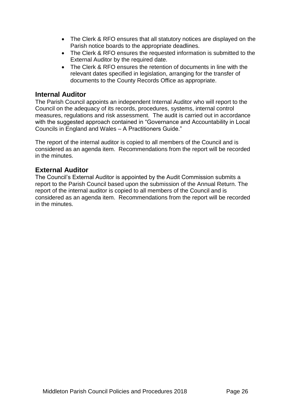- The Clerk & RFO ensures that all statutory notices are displayed on the Parish notice boards to the appropriate deadlines.
- The Clerk & RFO ensures the requested information is submitted to the External Auditor by the required date.
- The Clerk & RFO ensures the retention of documents in line with the relevant dates specified in legislation, arranging for the transfer of documents to the County Records Office as appropriate.

#### **Internal Auditor**

The Parish Council appoints an independent Internal Auditor who will report to the Council on the adequacy of its records, procedures, systems, internal control measures, regulations and risk assessment. The audit is carried out in accordance with the suggested approach contained in "Governance and Accountability in Local Councils in England and Wales – A Practitioners Guide."

The report of the internal auditor is copied to all members of the Council and is considered as an agenda item. Recommendations from the report will be recorded in the minutes.

#### **External Auditor**

The Council's External Auditor is appointed by the Audit Commission submits a report to the Parish Council based upon the submission of the Annual Return. The report of the internal auditor is copied to all members of the Council and is considered as an agenda item. Recommendations from the report will be recorded in the minutes.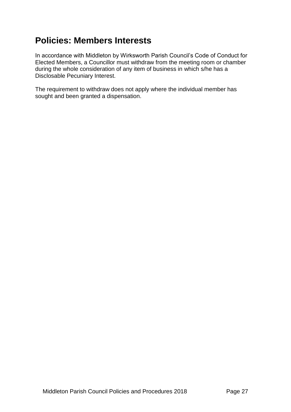# **Policies: Members Interests**

In accordance with Middleton by Wirksworth Parish Council's Code of Conduct for Elected Members, a Councillor must withdraw from the meeting room or chamber during the whole consideration of any item of business in which s/he has a Disclosable Pecuniary Interest.

The requirement to withdraw does not apply where the individual member has sought and been granted a dispensation.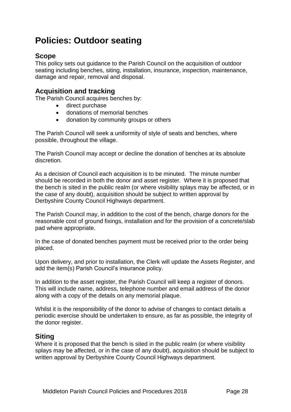# **Policies: Outdoor seating**

### **Scope**

This policy sets out guidance to the Parish Council on the acquisition of outdoor seating including benches, siting, installation, insurance, inspection, maintenance, damage and repair, removal and disposal.

### **Acquisition and tracking**

The Parish Council acquires benches by:

- direct purchase
- donations of memorial benches
- donation by community groups or others

The Parish Council will seek a uniformity of style of seats and benches, where possible, throughout the village.

The Parish Council may accept or decline the donation of benches at its absolute discretion.

As a decision of Council each acquisition is to be minuted. The minute number should be recorded in both the donor and asset register. Where it is proposed that the bench is sited in the public realm (or where visibility splays may be affected, or in the case of any doubt), acquisition should be subject to written approval by Derbyshire County Council Highways department.

The Parish Council may, in addition to the cost of the bench, charge donors for the reasonable cost of ground fixings, installation and for the provision of a concrete/slab pad where appropriate.

In the case of donated benches payment must be received prior to the order being placed.

Upon delivery, and prior to installation, the Clerk will update the Assets Register, and add the item(s) Parish Council's insurance policy.

In addition to the asset register, the Parish Council will keep a register of donors. This will include name, address, telephone number and email address of the donor along with a copy of the details on any memorial plaque.

Whilst it is the responsibility of the donor to advise of changes to contact details a periodic exercise should be undertaken to ensure, as far as possible, the integrity of the donor register.

#### **Siting**

Where it is proposed that the bench is sited in the public realm (or where visibility splays may be affected, or in the case of any doubt), acquisition should be subject to written approval by Derbyshire County Council Highways department.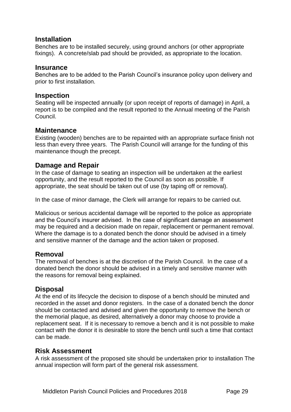#### **Installation**

Benches are to be installed securely, using ground anchors (or other appropriate fixings). A concrete/slab pad should be provided, as appropriate to the location.

#### **Insurance**

Benches are to be added to the Parish Council's insurance policy upon delivery and prior to first installation.

#### **Inspection**

Seating will be inspected annually (or upon receipt of reports of damage) in April, a report is to be compiled and the result reported to the Annual meeting of the Parish Council.

#### **Maintenance**

Existing (wooden) benches are to be repainted with an appropriate surface finish not less than every three years. The Parish Council will arrange for the funding of this maintenance though the precept.

#### **Damage and Repair**

In the case of damage to seating an inspection will be undertaken at the earliest opportunity, and the result reported to the Council as soon as possible. If appropriate, the seat should be taken out of use (by taping off or removal).

In the case of minor damage, the Clerk will arrange for repairs to be carried out.

Malicious or serious accidental damage will be reported to the police as appropriate and the Council's insurer advised. In the case of significant damage an assessment may be required and a decision made on repair, replacement or permanent removal. Where the damage is to a donated bench the donor should be advised in a timely and sensitive manner of the damage and the action taken or proposed.

### **Removal**

The removal of benches is at the discretion of the Parish Council. In the case of a donated bench the donor should be advised in a timely and sensitive manner with the reasons for removal being explained.

### **Disposal**

At the end of its lifecycle the decision to dispose of a bench should be minuted and recorded in the asset and donor registers. In the case of a donated bench the donor should be contacted and advised and given the opportunity to remove the bench or the memorial plaque, as desired, alternatively a donor may choose to provide a replacement seat. If it is necessary to remove a bench and it is not possible to make contact with the donor it is desirable to store the bench until such a time that contact can be made.

#### **Risk Assessment**

A risk assessment of the proposed site should be undertaken prior to installation The annual inspection will form part of the general risk assessment.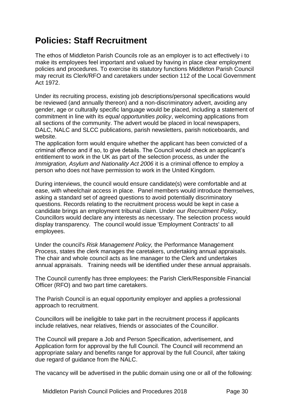# **Policies: Staff Recruitment**

The ethos of Middleton Parish Councils role as an employer is to act effectively i to make its employees feel important and valued by having in place clear employment policies and procedures. To exercise its statutory functions Middleton Parish Council may recruit its Clerk/RFO and caretakers under section 112 of the Local Government Act 1972.

Under its recruiting process, existing job descriptions/personal specifications would be reviewed (and annually thereon) and a non-discriminatory advert, avoiding any gender, age or culturally specific language would be placed, including a statement of commitment in line with its *equal opportunities policy*, welcoming applications from all sections of the community. The advert would be placed in local newspapers, DALC, NALC and SLCC publications, parish newsletters, parish noticeboards, and website.

The application form would enquire whether the applicant has been convicted of a criminal offence and if so, to give details. The Council would check an applicant's entitlement to work in the UK as part of the selection process, as under the *Immigration, Asylum and Nationality Act 2006* it is a criminal offence to employ a person who does not have permission to work in the United Kingdom.

During interviews, the council would ensure candidate(s) were comfortable and at ease, with wheelchair access in place. Panel members would introduce themselves, asking a standard set of agreed questions to avoid potentially discriminatory questions. Records relating to the recruitment process would be kept in case a candidate brings an employment tribunal claim. Under our *Recruitment Policy*, Councillors would declare any interests as necessary. The selection process would display transparency. The council would issue 'Employment Contracts' to all employees.

Under the council's *Risk Management Policy,* the Performance Management Process, states the clerk manages the caretakers, undertaking annual appraisals. The chair and whole council acts as line manager to the Clerk and undertakes annual appraisals. Training needs will be identified under these annual appraisals.

The Council currently has three employees: the Parish Clerk/Responsible Financial Officer (RFO) and two part time caretakers.

The Parish Council is an equal opportunity employer and applies a professional approach to recruitment.

Councillors will be ineligible to take part in the recruitment process if applicants include relatives, near relatives, friends or associates of the Councillor.

The Council will prepare a Job and Person Specification, advertisement, and Application form for approval by the full Council. The Council will recommend an appropriate salary and benefits range for approval by the full Council, after taking due regard of guidance from the NALC.

The vacancy will be advertised in the public domain using one or all of the following: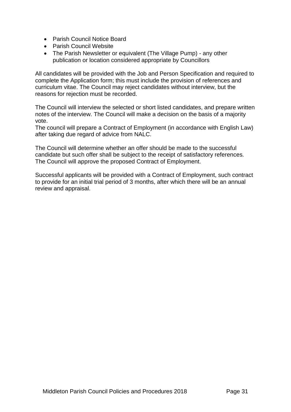- Parish Council Notice Board
- Parish Council Website
- The Parish Newsletter or equivalent (The Village Pump) any other publication or location considered appropriate by Councillors

All candidates will be provided with the Job and Person Specification and required to complete the Application form; this must include the provision of references and curriculum vitae. The Council may reject candidates without interview, but the reasons for rejection must be recorded.

The Council will interview the selected or short listed candidates, and prepare written notes of the interview. The Council will make a decision on the basis of a majority vote.

The council will prepare a Contract of Employment (in accordance with English Law) after taking due regard of advice from NALC.

The Council will determine whether an offer should be made to the successful candidate but such offer shall be subject to the receipt of satisfactory references. The Council will approve the proposed Contract of Employment.

Successful applicants will be provided with a Contract of Employment, such contract to provide for an initial trial period of 3 months, after which there will be an annual review and appraisal.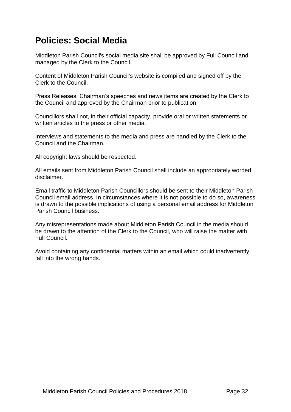# **Policies: Social Media**

Middleton Parish Council's social media site shall be approved by Full Council and managed by the Clerk to the Council.

Content of Middleton Parish Council's website is compiled and signed off by the Clerk to the Council.

Press Releases, Chairman's speeches and news items are created by the Clerk to the Council and approved by the Chairman prior to publication.

Councillors shall not, in their official capacity, provide oral or written statements or written articles to the press or other media.

Interviews and statements to the media and press are handled by the Clerk to the Council and the Chairman.

All copyright laws should be respected.

All emails sent from Middleton Parish Council shall include an appropriately worded disclaimer.

Email traffic to Middleton Parish Councillors should be sent to their Middleton Parish Council email address. In circumstances where it is not possible to do so, awareness is drawn to the possible implications of using a personal email address for Middleton Parish Council business.

Any misrepresentations made about Middleton Parish Council in the media should be drawn to the attention of the Clerk to the Council, who will raise the matter with Full Council.

Avoid containing any confidential matters within an email which could inadvertently fall into the wrong hands.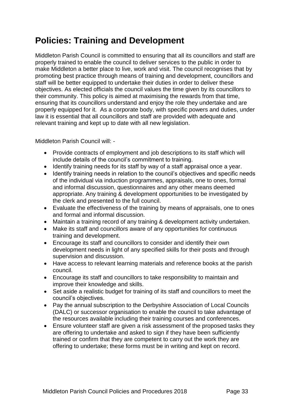# **Policies: Training and Development**

Middleton Parish Council is committed to ensuring that all its councillors and staff are properly trained to enable the council to deliver services to the public in order to make Middleton a better place to live, work and visit. The council recognises that by promoting best practice through means of training and development, councillors and staff will be better equipped to undertake their duties in order to deliver these objectives. As elected officials the council values the time given by its councillors to their community. This policy is aimed at maximising the rewards from that time, ensuring that its councillors understand and enjoy the role they undertake and are properly equipped for it. As a corporate body, with specific powers and duties, under law it is essential that all councillors and staff are provided with adequate and relevant training and kept up to date with all new legislation.

Middleton Parish Council will: -

- Provide contracts of employment and job descriptions to its staff which will include details of the council's commitment to training.
- Identify training needs for its staff by way of a staff appraisal once a year.
- Identify training needs in relation to the council's objectives and specific needs of the individual via induction programmes, appraisals, one to ones, formal and informal discussion, questionnaires and any other means deemed appropriate. Any training & development opportunities to be investigated by the clerk and presented to the full council.
- Evaluate the effectiveness of the training by means of appraisals, one to ones and formal and informal discussion.
- Maintain a training record of any training & development activity undertaken.
- Make its staff and councillors aware of any opportunities for continuous training and development.
- Encourage its staff and councillors to consider and identify their own development needs in light of any specified skills for their posts and through supervision and discussion.
- Have access to relevant learning materials and reference books at the parish council.
- Encourage its staff and councillors to take responsibility to maintain and improve their knowledge and skills.
- Set aside a realistic budget for training of its staff and councillors to meet the council's objectives.
- Pay the annual subscription to the Derbyshire Association of Local Councils (DALC) or successor organisation to enable the council to take advantage of the resources available including their training courses and conferences.
- Ensure volunteer staff are given a risk assessment of the proposed tasks they are offering to undertake and asked to sign if they have been sufficiently trained or confirm that they are competent to carry out the work they are offering to undertake; these forms must be in writing and kept on record.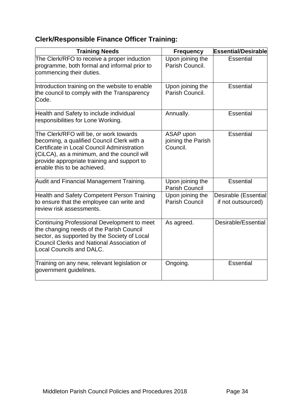## **Clerk/Responsible Finance Officer Training:**

| <b>Training Needs</b>                                                                                                                                                                                                                                            | <b>Frequency</b>                            | <b>Essential/Desirable</b>                 |
|------------------------------------------------------------------------------------------------------------------------------------------------------------------------------------------------------------------------------------------------------------------|---------------------------------------------|--------------------------------------------|
| The Clerk/RFO to receive a proper induction<br>programme, both formal and informal prior to<br>commencing their duties.                                                                                                                                          | Upon joining the<br>Parish Council.         | <b>Essential</b>                           |
| Introduction training on the website to enable<br>the council to comply with the Transparency<br>Code.                                                                                                                                                           | Upon joining the<br>Parish Council.         | Essential                                  |
| Health and Safety to include individual<br>responsibilities for Lone Working.                                                                                                                                                                                    | Annually.                                   | <b>Essential</b>                           |
| The Clerk/RFO will be, or work towards<br>becoming, a qualified Council Clerk with a<br>Certificate in Local Council Administration<br>(CiLCA), as a minimum, and the council will<br>provide appropriate training and support to<br>enable this to be achieved. | ASAP upon<br>joining the Parish<br>Council. | Essential                                  |
| Audit and Financial Management Training.                                                                                                                                                                                                                         | Upon joining the<br><b>Parish Council</b>   | <b>Essential</b>                           |
| Health and Safety Competent Person Training<br>to ensure that the employee can write and<br>review risk assessments.                                                                                                                                             | Upon joining the<br><b>Parish Council</b>   | Desirable (Essential<br>if not outsourced) |
| Continuing Professional Development to meet<br>the changing needs of the Parish Council<br>sector, as supported by the Society of Local<br>Council Clerks and National Association of<br>Local Councils and DALC.                                                | As agreed.                                  | Desirable/Essential                        |
| Training on any new, relevant legislation or<br>government guidelines.                                                                                                                                                                                           | Ongoing.                                    | <b>Essential</b>                           |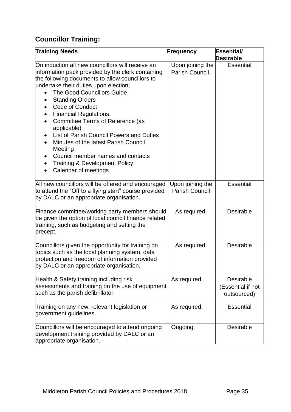# **Councillor Training:**

| <b>Training Needs</b>                                                                                                                                                                                                                                                                                                                                                                                                                                                                                                                                                                        | <b>Frequency</b>                          | Essential/<br><b>Desirable</b>                |
|----------------------------------------------------------------------------------------------------------------------------------------------------------------------------------------------------------------------------------------------------------------------------------------------------------------------------------------------------------------------------------------------------------------------------------------------------------------------------------------------------------------------------------------------------------------------------------------------|-------------------------------------------|-----------------------------------------------|
| On induction all new councillors will receive an<br>information pack provided by the clerk containing<br>the following documents to allow councillors to<br>undertake their duties upon election;<br><b>The Good Councillors Guide</b><br><b>Standing Orders</b><br>$\bullet$<br>Code of Conduct<br><b>Financial Regulations.</b><br>Committee Terms of Reference (as<br>applicable)<br>List of Parish Council Powers and Duties<br>Minutes of the latest Parish Council<br>Meeting<br>Council member names and contacts<br><b>Training &amp; Development Policy</b><br>Calendar of meetings | Upon joining the<br>Parish Council.       | <b>Essential</b>                              |
| All new councillors will be offered and encouraged<br>to attend the "Off to a flying start" course provided<br>by DALC or an appropriate organisation.                                                                                                                                                                                                                                                                                                                                                                                                                                       | Upon joining the<br><b>Parish Council</b> | <b>Essential</b>                              |
| Finance committee/working party members should<br>be given the option of local council finance related<br>training, such as budgeting and setting the<br>precept.                                                                                                                                                                                                                                                                                                                                                                                                                            | As required.                              | Desirable                                     |
| Councillors given the opportunity for training on<br>topics such as the local planning system, data<br>protection and freedom of information provided<br>by DALC or an appropriate organisation.                                                                                                                                                                                                                                                                                                                                                                                             | As required.                              | Desirable                                     |
| Health & Safety training including risk<br>assessments and training on the use of equipment<br>such as the parish defibrillator.                                                                                                                                                                                                                                                                                                                                                                                                                                                             | As required.                              | Desirable<br>(Essential if not<br>outsourced) |
| Training on any new, relevant legislation or<br>government guidelines.                                                                                                                                                                                                                                                                                                                                                                                                                                                                                                                       | As required.                              | <b>Essential</b>                              |
| Councillors will be encouraged to attend ongoing<br>development training provided by DALC or an<br>appropriate organisation.                                                                                                                                                                                                                                                                                                                                                                                                                                                                 | Ongoing.                                  | Desirable                                     |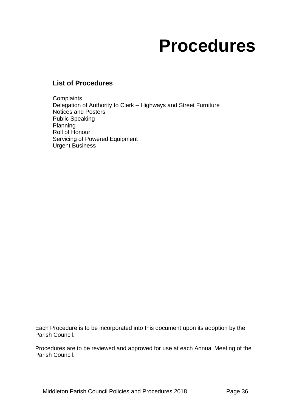# **Procedures**

### **List of Procedures**

**Complaints** Delegation of Authority to Clerk – Highways and Street Furniture Notices and Posters Public Speaking Planning Roll of Honour Servicing of Powered Equipment Urgent Business

Each Procedure is to be incorporated into this document upon its adoption by the Parish Council.

Procedures are to be reviewed and approved for use at each Annual Meeting of the Parish Council.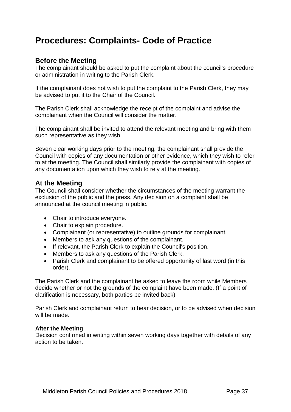# **Procedures: Complaints- Code of Practice**

#### **Before the Meeting**

The complainant should be asked to put the complaint about the council's procedure or administration in writing to the Parish Clerk.

If the complainant does not wish to put the complaint to the Parish Clerk, they may be advised to put it to the Chair of the Council.

The Parish Clerk shall acknowledge the receipt of the complaint and advise the complainant when the Council will consider the matter.

The complainant shall be invited to attend the relevant meeting and bring with them such representative as they wish.

Seven clear working days prior to the meeting, the complainant shall provide the Council with copies of any documentation or other evidence, which they wish to refer to at the meeting. The Council shall similarly provide the complainant with copies of any documentation upon which they wish to rely at the meeting.

### **At the Meeting**

The Council shall consider whether the circumstances of the meeting warrant the exclusion of the public and the press. Any decision on a complaint shall be announced at the council meeting in public.

- Chair to introduce everyone.
- Chair to explain procedure.
- Complainant (or representative) to outline grounds for complainant.
- Members to ask any questions of the complainant.
- If relevant, the Parish Clerk to explain the Council's position.
- Members to ask any questions of the Parish Clerk.
- Parish Clerk and complainant to be offered opportunity of last word (in this order).

The Parish Clerk and the complainant be asked to leave the room while Members decide whether or not the grounds of the complaint have been made. (If a point of clarification is necessary, both parties be invited back)

Parish Clerk and complainant return to hear decision, or to be advised when decision will be made.

#### **After the Meeting**

Decision confirmed in writing within seven working days together with details of any action to be taken.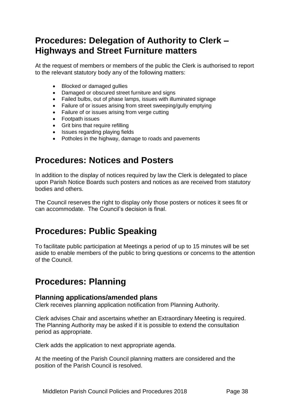# **Procedures: Delegation of Authority to Clerk – Highways and Street Furniture matters**

At the request of members or members of the public the Clerk is authorised to report to the relevant statutory body any of the following matters:

- Blocked or damaged gullies
- Damaged or obscured street furniture and signs
- Failed bulbs, out of phase lamps, issues with illuminated signage
- Failure of or issues arising from street sweeping/gully emptying
- Failure of or issues arising from verge cutting
- Footpath issues
- Grit bins that require refilling
- Issues regarding playing fields
- Potholes in the highway, damage to roads and pavements

## **Procedures: Notices and Posters**

In addition to the display of notices required by law the Clerk is delegated to place upon Parish Notice Boards such posters and notices as are received from statutory bodies and others.

The Council reserves the right to display only those posters or notices it sees fit or can accommodate. The Council's decision is final.

# **Procedures: Public Speaking**

To facilitate public participation at Meetings a period of up to 15 minutes will be set aside to enable members of the public to bring questions or concerns to the attention of the Council.

# **Procedures: Planning**

#### **Planning applications/amended plans**

Clerk receives planning application notification from Planning Authority.

Clerk advises Chair and ascertains whether an Extraordinary Meeting is required. The Planning Authority may be asked if it is possible to extend the consultation period as appropriate.

Clerk adds the application to next appropriate agenda.

At the meeting of the Parish Council planning matters are considered and the position of the Parish Council is resolved.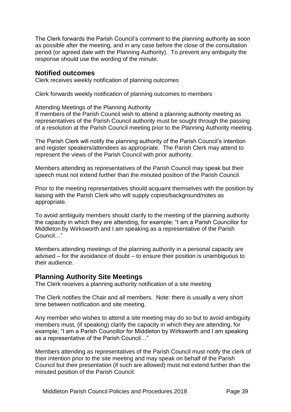The Clerk forwards the Parish Council's comment to the planning authority as soon as possible after the meeting, and in any case before the close of the consultation period (or agreed date with the Planning Authority). To prevent any ambiguity the response should use the wording of the minute.

#### **Notified outcomes**

Clerk receives weekly notification of planning outcomes

Clerk forwards weekly notification of planning outcomes to members

Attending Meetings of the Planning Authority

If members of the Parish Council wish to attend a planning authority meeting as representatives of the Parish Council authority must be sought through the passing of a resolution at the Parish Council meeting prior to the Planning Authority meeting.

The Parish Clerk will notify the planning authority of the Parish Council's intention and register speakers/attendees as appropriate. The Parish Clerk may attend to represent the views of the Parish Council with prior authority.

Members attending as representatives of the Parish Council may speak but their speech must not extend further than the minuted position of the Parish Council.

Prior to the meeting representatives should acquaint themselves with the position by liaising with the Parish Clerk who will supply copies/background/notes as appropriate.

To avoid ambiguity members should clarify to the meeting of the planning authority the capacity in which they are attending, for example; "I am a Parish Councillor for Middleton by Wirksworth and I am speaking as a representative of the Parish Council…"

Members attending meetings of the planning authority in a personal capacity are advised – for the avoidance of doubt – to ensure their position is unambiguous to their audience.

#### **Planning Authority Site Meetings**

The Clerk receives a planning authority notification of a site meeting

The Clerk notifies the Chair and all members. Note: there is usually a very short time between notification and site meeting.

Any member who wishes to attend a site meeting may do so but to avoid ambiguity members must, (if speaking) clarify the capacity in which they are attending, for example; "I am a Parish Councillor for Middleton by Wirksworth and I am speaking as a representative of the Parish Council…"

Members attending as representatives of the Parish Council must notify the clerk of their intention prior to the site meeting and may speak on behalf of the Parish Council but their presentation (if such are allowed) must not extend further than the minuted position of the Parish Council.